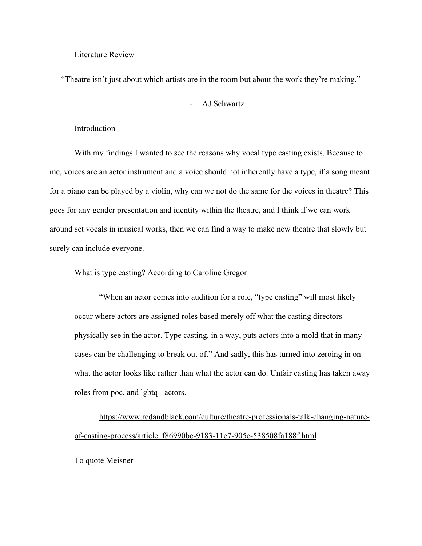#### Literature Review

"Theatre isn't just about which artists are in the room but about the work they're making."

# - AJ Schwartz

# Introduction

With my findings I wanted to see the reasons why vocal type casting exists. Because to me, voices are an actor instrument and a voice should not inherently have a type, if a song meant for a piano can be played by a violin, why can we not do the same for the voices in theatre? This goes for any gender presentation and identity within the theatre, and I think if we can work around set vocals in musical works, then we can find a way to make new theatre that slowly but surely can include everyone.

What is type casting? According to Caroline Gregor

"When an actor comes into audition for a role, "type casting" will most likely occur where actors are assigned roles based merely off what the casting directors physically see in the actor. Type casting, in a way, puts actors into a mold that in many cases can be challenging to break out of." And sadly, this has turned into zeroing in on what the actor looks like rather than what the actor can do. Unfair casting has taken away roles from poc, and lgbtq+ actors.

[https://www.redandblack.com/culture/theatre-professionals-talk-changing-nature](https://www.redandblack.com/culture/theatre-professionals-talk-changing-nature-of-casting-process/article_f86990be-9183-11e7-905c-538508fa188f.html)[of-casting-process/article\\_f86990be-9183-11e7-905c-538508fa188f.html](https://www.redandblack.com/culture/theatre-professionals-talk-changing-nature-of-casting-process/article_f86990be-9183-11e7-905c-538508fa188f.html)

To quote Meisner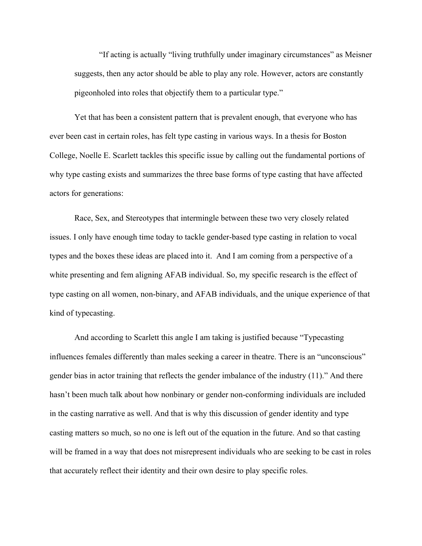"If acting is actually "living truthfully under imaginary circumstances" as Meisner suggests, then any actor should be able to play any role. However, actors are constantly pigeonholed into roles that objectify them to a particular type."

Yet that has been a consistent pattern that is prevalent enough, that everyone who has ever been cast in certain roles, has felt type casting in various ways. In a thesis for Boston College, Noelle E. Scarlett tackles this specific issue by calling out the fundamental portions of why type casting exists and summarizes the three base forms of type casting that have affected actors for generations:

Race, Sex, and Stereotypes that intermingle between these two very closely related issues. I only have enough time today to tackle gender-based type casting in relation to vocal types and the boxes these ideas are placed into it. And I am coming from a perspective of a white presenting and fem aligning AFAB individual. So, my specific research is the effect of type casting on all women, non-binary, and AFAB individuals, and the unique experience of that kind of typecasting.

And according to Scarlett this angle I am taking is justified because "Typecasting influences females differently than males seeking a career in theatre. There is an "unconscious" gender bias in actor training that reflects the gender imbalance of the industry (11)." And there hasn't been much talk about how nonbinary or gender non-conforming individuals are included in the casting narrative as well. And that is why this discussion of gender identity and type casting matters so much, so no one is left out of the equation in the future. And so that casting will be framed in a way that does not misrepresent individuals who are seeking to be cast in roles that accurately reflect their identity and their own desire to play specific roles.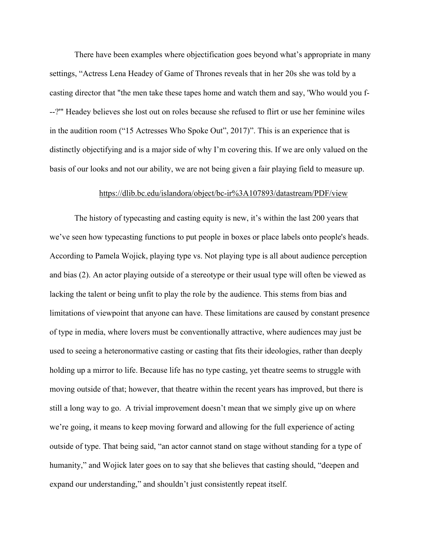There have been examples where objectification goes beyond what's appropriate in many settings, "Actress Lena Headey of Game of Thrones reveals that in her 20s she was told by a casting director that "the men take these tapes home and watch them and say, 'Who would you f- --?'" Headey believes she lost out on roles because she refused to flirt or use her feminine wiles in the audition room ("15 Actresses Who Spoke Out", 2017)". This is an experience that is distinctly objectifying and is a major side of why I'm covering this. If we are only valued on the basis of our looks and not our ability, we are not being given a fair playing field to measure up.

## <https://dlib.bc.edu/islandora/object/bc-ir%3A107893/datastream/PDF/view>

The history of typecasting and casting equity is new, it's within the last 200 years that we've seen how typecasting functions to put people in boxes or place labels onto people's heads. According to Pamela Wojick, playing type vs. Not playing type is all about audience perception and bias (2). An actor playing outside of a stereotype or their usual type will often be viewed as lacking the talent or being unfit to play the role by the audience. This stems from bias and limitations of viewpoint that anyone can have. These limitations are caused by constant presence of type in media, where lovers must be conventionally attractive, where audiences may just be used to seeing a heteronormative casting or casting that fits their ideologies, rather than deeply holding up a mirror to life. Because life has no type casting, yet theatre seems to struggle with moving outside of that; however, that theatre within the recent years has improved, but there is still a long way to go. A trivial improvement doesn't mean that we simply give up on where we're going, it means to keep moving forward and allowing for the full experience of acting outside of type. That being said, "an actor cannot stand on stage without standing for a type of humanity," and Wojick later goes on to say that she believes that casting should, "deepen and expand our understanding," and shouldn't just consistently repeat itself.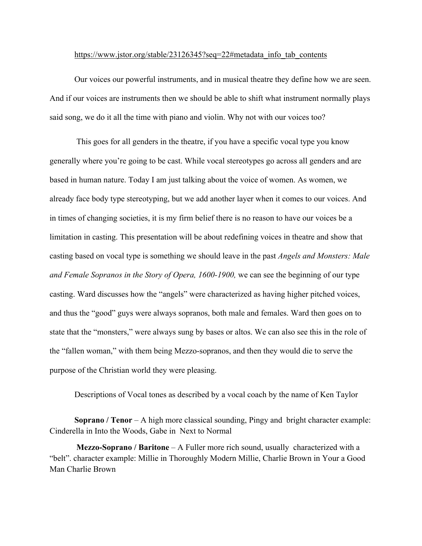#### [https://www.jstor.org/stable/23126345?seq=22#metadata\\_info\\_tab\\_contents](https://www.jstor.org/stable/23126345?seq=22#metadata_info_tab_contents)

Our voices our powerful instruments, and in musical theatre they define how we are seen. And if our voices are instruments then we should be able to shift what instrument normally plays said song, we do it all the time with piano and violin. Why not with our voices too?

 This goes for all genders in the theatre, if you have a specific vocal type you know generally where you're going to be cast. While vocal stereotypes go across all genders and are based in human nature. Today I am just talking about the voice of women. As women, we already face body type stereotyping, but we add another layer when it comes to our voices. And in times of changing societies, it is my firm belief there is no reason to have our voices be a limitation in casting. This presentation will be about redefining voices in theatre and show that casting based on vocal type is something we should leave in the past *Angels and Monsters: Male and Female Sopranos in the Story of Opera, 1600-1900, we can see the beginning of our type* casting. Ward discusses how the "angels" were characterized as having higher pitched voices, and thus the "good" guys were always sopranos, both male and females. Ward then goes on to state that the "monsters," were always sung by bases or altos. We can also see this in the role of the "fallen woman," with them being Mezzo-sopranos, and then they would die to serve the purpose of the Christian world they were pleasing.

Descriptions of Vocal tones as described by a vocal coach by the name of Ken Taylor

**Soprano / Tenor** – A high more classical sounding, Pingy and bright character example: Cinderella in Into the Woods, Gabe in Next to Normal

 **Mezzo-Soprano / Baritone** – A Fuller more rich sound, usually characterized with a "belt". character example: Millie in Thoroughly Modern Millie, Charlie Brown in Your a Good Man Charlie Brown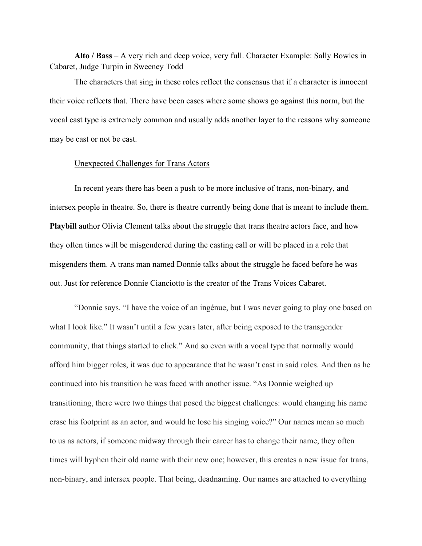**Alto / Bass** – A very rich and deep voice, very full. Character Example: Sally Bowles in Cabaret, Judge Turpin in Sweeney Todd

The characters that sing in these roles reflect the consensus that if a character is innocent their voice reflects that. There have been cases where some shows go against this norm, but the vocal cast type is extremely common and usually adds another layer to the reasons why someone may be cast or not be cast.

### [Unexpected Challenges for Trans Actors](https://www.playbill.com/article/the-unexpected-challenges-of-musical-theatre-for-trans-performers)

In recent years there has been a push to be more inclusive of trans, non-binary, and intersex people in theatre. So, there is theatre currently being done that is meant to include them. **Playbill** author Olivia Clement talks about the struggle that trans theatre actors face, and how they often times will be misgendered during the casting call or will be placed in a role that misgenders them. A trans man named Donnie talks about the struggle he faced before he was out. Just for reference Donnie Cianciotto is the creator of the Trans Voices Cabaret.

"Donnie says. "I have the voice of an ingénue, but I was never going to play one based on what I look like." It wasn't until a few years later, after being exposed to the transgender community, that things started to click." And so even with a vocal type that normally would afford him bigger roles, it was due to appearance that he wasn't cast in said roles. And then as he continued into his transition he was faced with another issue. "As Donnie weighed up transitioning, there were two things that posed the biggest challenges: would changing his name erase his footprint as an actor, and would he lose his singing voice?" Our names mean so much to us as actors, if someone midway through their career has to change their name, they often times will hyphen their old name with their new one; however, this creates a new issue for trans, non-binary, and intersex people. That being, deadnaming. Our names are attached to everything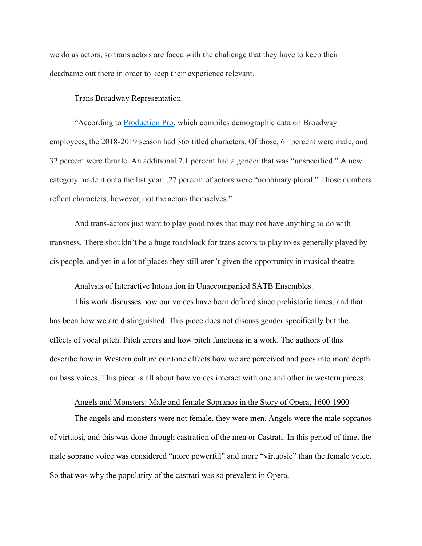we do as actors, so trans actors are faced with the challenge that they have to keep their deadname out there in order to keep their experience relevant.

### [Trans Broadway Representation](https://www.them.us/story/trans-voices-cabaret-broadway-representation)

"According to [Production Pro,](https://production.pro/broadway-by-the-numbers) which compiles demographic data on Broadway employees, the 2018-2019 season had 365 titled characters. Of those, 61 percent were male, and 32 percent were female. An additional 7.1 percent had a gender that was "unspecified." A new category made it onto the list year: .27 percent of actors were "nonbinary plural." Those numbers reflect characters, however, not the actors themselves."

And trans-actors just want to play good roles that may not have anything to do with transness. There shouldn't be a huge roadblock for trans actors to play roles generally played by cis people, and yet in a lot of places they still aren't given the opportunity in musical theatre.

# [Analysis of Interactive Intonation in Unaccompanied SATB Ensembles.](http://www.eecs.qmul.ac.uk/~simond/pub/2017/DaiDixon-ISMIR2017.pdf)

This work discusses how our voices have been defined since prehistoric times, and that has been how we are distinguished. This piece does not discuss gender specifically but the effects of vocal pitch. Pitch errors and how pitch functions in a work. The authors of this describe how in Western culture our tone effects how we are perceived and goes into more depth on bass voices. This piece is all about how voices interact with one and other in western pieces.

## [Angels and Monsters: Male and female Sopranos in the Story of Opera, 1600-1900](https://books.google.com/books?hl=en&lr=&id=dVZl_G_h7aUC&oi=fnd&pg=PR9&dq=sopranos+get+more+applause&ots=YxO8YyEA5O&sig=fWlsIjDiyMAWtqKyR-ppANMv7S8)

The angels and monsters were not female, they were men. Angels were the male sopranos of virtuosi, and this was done through castration of the men or Castrati. In this period of time, the male soprano voice was considered "more powerful" and more "virtuosic" than the female voice. So that was why the popularity of the castrati was so prevalent in Opera.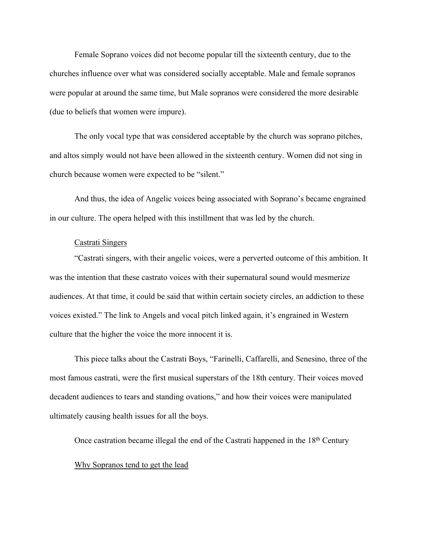Female Soprano voices did not become popular till the sixteenth century, due to the churches influence over what was considered socially acceptable. Male and female sopranos were popular at around the same time, but Male sopranos were considered the more desirable (due to beliefs that women were impure).

The only vocal type that was considered acceptable by the church was soprano pitches, and altos simply would not have been allowed in the sixteenth century. Women did not sing in church because women were expected to be "silent."

And thus, the idea of Angelic voices being associated with Soprano's became engrained in our culture. The opera helped with this instillment that was led by the church.

# [Castrati Singers](https://www.sciencedirect.com/science/article/abs/pii/S1743609515340984)

"Castrati singers, with their angelic voices, were a perverted outcome of this ambition. It was the intention that these castrato voices with their supernatural sound would mesmerize audiences. At that time, it could be said that within certain society circles, an addiction to these voices existed." The link to Angels and vocal pitch linked again, it's engrained in Western culture that the higher the voice the more innocent it is.

This piece talks about the Castrati Boys, "Farinelli, Caffarelli, and Senesino, three of the most famous castrati, were the first musical superstars of the 18th century. Their voices moved decadent audiences to tears and standing ovations," and how their voices were manipulated ultimately causing health issues for all the boys.

Once castration became illegal the end of the Castrati happened in the 18th Century

### [Why Sopranos tend to get the lead](https://lessonsinyourhome.net/blog/soprano-voice-role-chorus/)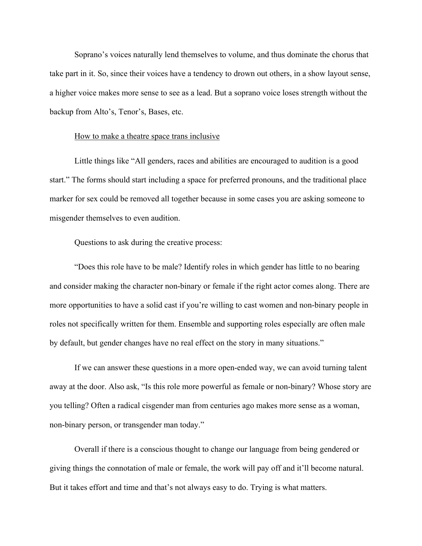Soprano's voices naturally lend themselves to volume, and thus dominate the chorus that take part in it. So, since their voices have a tendency to drown out others, in a show layout sense, a higher voice makes more sense to see as a lead. But a soprano voice loses strength without the backup from Alto's, Tenor's, Bases, etc.

#### [How to make a theatre space trans inclusive](https://www.glaad.org/amp/how-to-make-theatre-productions-trans-inclusive)

Little things like "All genders, races and abilities are encouraged to audition is a good start." The forms should start including a space for preferred pronouns, and the traditional place marker for sex could be removed all together because in some cases you are asking someone to misgender themselves to even audition.

Questions to ask during the creative process:

"Does this role have to be male? Identify roles in which gender has little to no bearing and consider making the character non-binary or female if the right actor comes along. There are more opportunities to have a solid cast if you're willing to cast women and non-binary people in roles not specifically written for them. Ensemble and supporting roles especially are often male by default, but gender changes have no real effect on the story in many situations."

If we can answer these questions in a more open-ended way, we can avoid turning talent away at the door. Also ask, "Is this role more powerful as female or non-binary? Whose story are you telling? Often a radical cisgender man from centuries ago makes more sense as a woman, non-binary person, or transgender man today."

Overall if there is a conscious thought to change our language from being gendered or giving things the connotation of male or female, the work will pay off and it'll become natural. But it takes effort and time and that's not always easy to do. Trying is what matters.